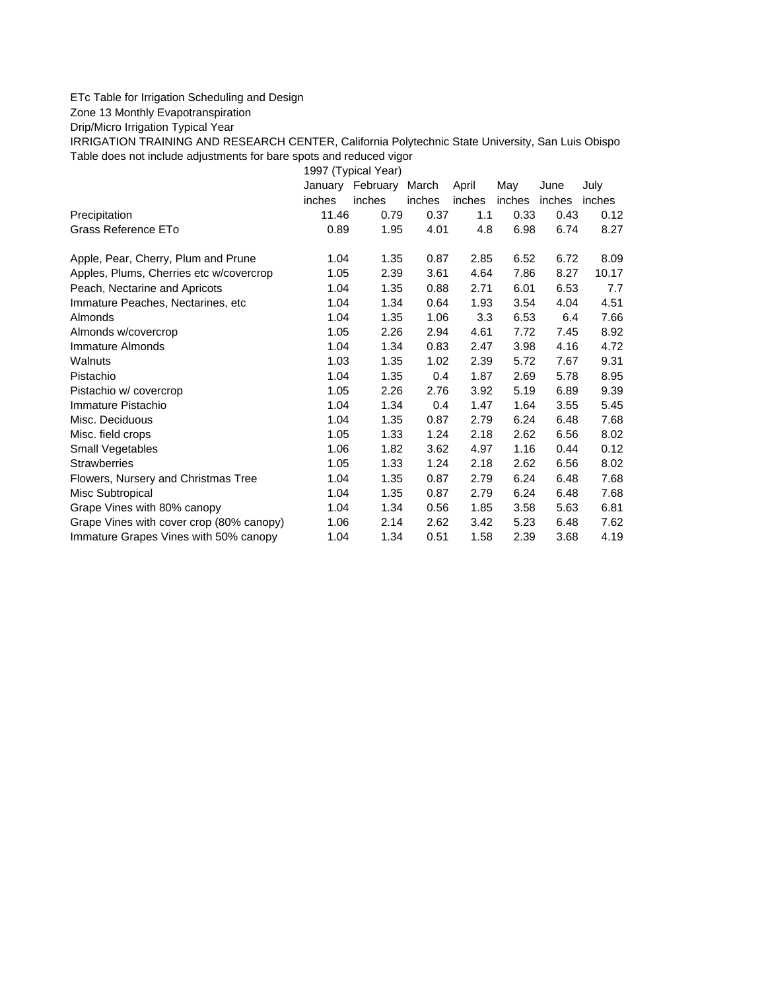## ETc Table for Irrigation Scheduling and Design

Zone 13 Monthly Evapotranspiration

Drip/Micro Irrigation Typical Year

IRRIGATION TRAINING AND RESEARCH CENTER, California Polytechnic State University, San Luis Obispo Table does not include adjustments for bare spots and reduced vigor

1997 (Typical Year) January February March April May June July inches inches inches inches inches inches inches Precipitation 11.46 0.79 0.37 1.1 0.33 0.43 0.12 Grass Reference ETo  $0.89$   $1.95$   $4.01$   $4.8$   $6.98$   $6.74$   $8.27$ Apple, Pear, Cherry, Plum and Prune 1.04 1.35 0.87 2.85 6.52 6.72 8.09 Apples, Plums, Cherries etc w/covercrop 1.05 2.39 3.61 4.64 7.86 8.27 10.17 Peach, Nectarine and Apricots 1.04 1.35 0.88 2.71 6.01 6.53 7.7 Immature Peaches, Nectarines, etc 1.04 1.34 0.64 1.93 3.54 4.04 4.51 Almonds 1.04 1.35 1.06 3.3 6.53 6.4 7.66 Almonds w/covercrop 1.05 2.26 2.94 4.61 7.72 7.45 8.92 Immature Almonds 1.04 1.34 0.83 2.47 3.98 4.16 4.72 Walnuts 1.03 1.35 1.02 2.39 5.72 7.67 9.31 Pistachio 1.04 1.35 0.4 1.87 2.69 5.78 8.95 Pistachio w/ covercrop 1.05 2.26 2.76 3.92 5.19 6.89 9.39 Immature Pistachio 1.04 1.34 0.4 1.47 1.64 3.55 5.45 Misc. Deciduous 1.04 1.35 0.87 2.79 6.24 6.48 7.68 Misc. field crops 1.05 1.33 1.24 2.18 2.62 6.56 8.02 Small Vegetables 1.06 1.82 3.62 4.97 1.16 0.44 0.12 Strawberries 1.05 1.33 1.24 2.18 2.62 6.56 8.02 Flowers, Nursery and Christmas Tree 1.04 1.35 0.87 2.79 6.24 6.48 7.68 Misc Subtropical 1.04 1.35 0.87 2.79 6.24 6.48 7.68 Grape Vines with 80% canopy 1.04 1.34 0.56 1.85 3.58 5.63 6.81 Grape Vines with cover crop (80% canopy) 1.06 2.14 2.62 3.42 5.23 6.48 7.62 Immature Grapes Vines with 50% canopy 1.04 1.34 0.51 1.58 2.39 3.68 4.19